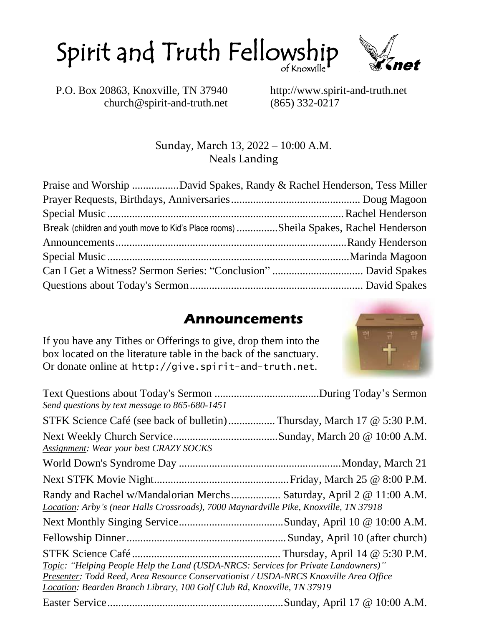



P.O. Box 20863, Knoxville, TN 37940 http://www.spirit-and-truth.net church@spirit-and-truth.net (865) 332-0217

Sunday, March 13, 2022 – 10:00 A.M. Neals Landing

| Praise and Worship David Spakes, Randy & Rachel Henderson, Tess Miller               |  |
|--------------------------------------------------------------------------------------|--|
|                                                                                      |  |
|                                                                                      |  |
| Break (children and youth move to Kid's Place rooms) Sheila Spakes, Rachel Henderson |  |
|                                                                                      |  |
|                                                                                      |  |
|                                                                                      |  |
|                                                                                      |  |

#### **Announcements**

If you have any Tithes or Offerings to give, drop them into the box located on the literature table in the back of the sanctuary. Or donate online at http://give.spirit-and-truth.net.

| <u>UI donale onnie al III ep. // give. Spirit e-anu-ci u ch. nec.</u>                                                                                                                                                                                  |  |
|--------------------------------------------------------------------------------------------------------------------------------------------------------------------------------------------------------------------------------------------------------|--|
| Send questions by text message to 865-680-1451                                                                                                                                                                                                         |  |
| STFK Science Café (see back of bulletin) Thursday, March 17 @ 5:30 P.M.                                                                                                                                                                                |  |
| Assignment: Wear your best CRAZY SOCKS                                                                                                                                                                                                                 |  |
|                                                                                                                                                                                                                                                        |  |
|                                                                                                                                                                                                                                                        |  |
| Randy and Rachel w/Mandalorian Merchs Saturday, April 2 @ 11:00 A.M.<br>Location: Arby's (near Halls Crossroads), 7000 Maynardville Pike, Knoxville, TN 37918                                                                                          |  |
|                                                                                                                                                                                                                                                        |  |
|                                                                                                                                                                                                                                                        |  |
| Topic: "Helping People Help the Land (USDA-NRCS: Services for Private Landowners)"<br>Presenter: Todd Reed, Area Resource Conservationist / USDA-NRCS Knoxville Area Office<br>Location: Bearden Branch Library, 100 Golf Club Rd, Knoxville, TN 37919 |  |

Easter Service................................................................Sunday, April 17 @ 10:00 A.M.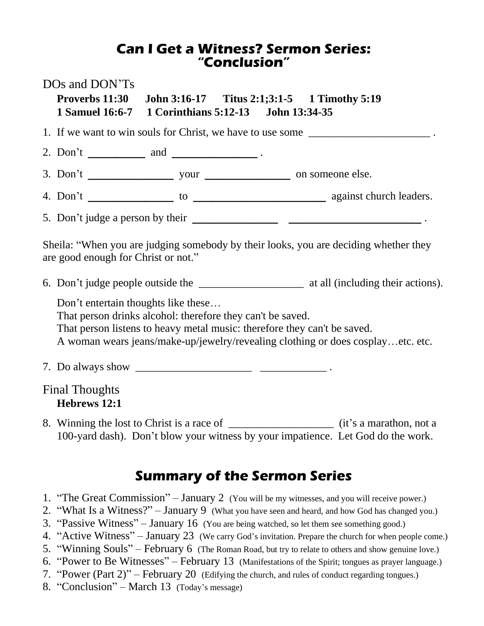#### **Can I Get a Witness? Sermon Series: "Conclusion"**

|                                                                                                                             | DOs and DON'Ts<br>Proverbs 11:30 John 3:16-17 Titus 2:1;3:1-5 1 Timothy 5:19<br>1 Samuel 16:6-7 1 Corinthians 5:12-13 John 13:34-35                                           |  |  |                                                                                 |  |  |
|-----------------------------------------------------------------------------------------------------------------------------|-------------------------------------------------------------------------------------------------------------------------------------------------------------------------------|--|--|---------------------------------------------------------------------------------|--|--|
| 1. If we want to win souls for Christ, we have to use some ______________________                                           |                                                                                                                                                                               |  |  |                                                                                 |  |  |
|                                                                                                                             | 2. Don't ____________ and __________________.                                                                                                                                 |  |  |                                                                                 |  |  |
|                                                                                                                             |                                                                                                                                                                               |  |  |                                                                                 |  |  |
|                                                                                                                             |                                                                                                                                                                               |  |  |                                                                                 |  |  |
|                                                                                                                             |                                                                                                                                                                               |  |  |                                                                                 |  |  |
| Sheila: "When you are judging somebody by their looks, you are deciding whether they<br>are good enough for Christ or not." |                                                                                                                                                                               |  |  |                                                                                 |  |  |
|                                                                                                                             |                                                                                                                                                                               |  |  |                                                                                 |  |  |
|                                                                                                                             | Don't entertain thoughts like these<br>That person drinks alcohol: therefore they can't be saved.<br>That person listens to heavy metal music: therefore they can't be saved. |  |  | A woman wears jeans/make-up/jewelry/revealing clothing or does cosplayetc. etc. |  |  |
|                                                                                                                             |                                                                                                                                                                               |  |  |                                                                                 |  |  |
|                                                                                                                             | <b>Final Thoughts</b><br>Hebrews 12:1                                                                                                                                         |  |  |                                                                                 |  |  |
|                                                                                                                             | 8 Winning the lost to Christ is a race of                                                                                                                                     |  |  | (it's a marathon not a                                                          |  |  |

8. Winning the lost to Christ is a race of \_\_\_\_\_\_\_\_\_\_\_\_\_\_\_\_\_\_\_ (it's a marathon, not a 100-yard dash). Don't blow your witness by your impatience. Let God do the work.

#### **Summary of the Sermon Series**

- 1. "The Great Commission" January 2 (You will be my witnesses, and you will receive power.)
- 2. "What Is a Witness?" January 9 (What you have seen and heard, and how God has changed you.)
- 3. "Passive Witness" January 16 (You are being watched, so let them see something good.)
- 4. "Active Witness" January 23 (We carry God's invitation. Prepare the church for when people come.)
- 5. "Winning Souls" February 6 (The Roman Road, but try to relate to others and show genuine love.)
- 6. "Power to Be Witnesses" February 13 (Manifestations of the Spirit; tongues as prayer language.)
- 7. "Power (Part 2)" February 20 (Edifying the church, and rules of conduct regarding tongues.)
- 8. "Conclusion" March 13 (Today's message)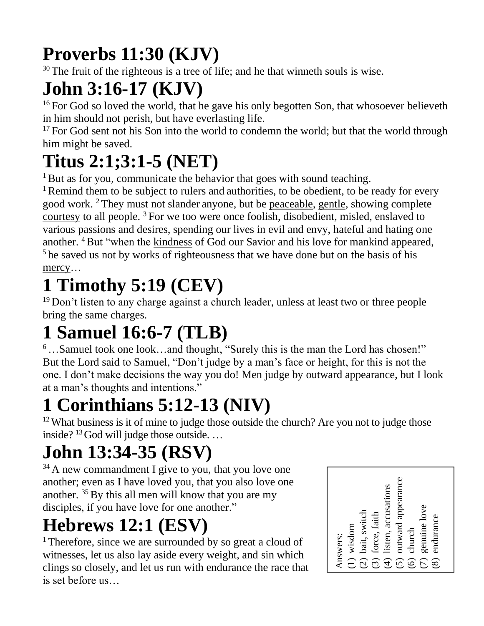## **Proverbs 11:30 (KJV)**

 $30$  The fruit of the righteous is a tree of life; and he that winneth souls is wise.

### **John 3:16-17 (KJV)**

<sup>16</sup> For God so loved the world, that he gave his only begotten Son, that whosoever believeth in him should not perish, but have everlasting life.

 $17$  For God sent not his Son into the world to condemn the world; but that the world through him might be saved.

### **Titus 2:1;3:1-5 (NET)**

 $1$  But as for you, communicate the behavior that goes with sound teaching.

<sup>1</sup> Remind them to be subject to rulers and authorities, to be obedient, to be ready for every good work. <sup>2</sup> They must not slander anyone, but be peaceable, gentle, showing complete courtesy to all people. <sup>3</sup> For we too were once foolish, disobedient, misled, enslaved to various passions and desires, spending our lives in evil and envy, hateful and hating one another. <sup>4</sup>But "when the kindness of God our Savior and his love for mankind appeared, <sup>5</sup> he saved us not by works of righteousness that we have done but on the basis of his mercy...

## **1 Timothy 5:19 (CEV)**

<sup>19</sup> Don't listen to any charge against a church leader, unless at least two or three people bring the same charges.

## **1 Samuel 16:6-7 (TLB)**

<sup>6</sup>…Samuel took one look…and thought, "Surely this is the man the Lord has chosen!" But the Lord said to Samuel, "Don't judge by a man's face or height, for this is not the one. I don't make decisions the way you do! Men judge by outward appearance, but I look at a man's thoughts and intentions."

## **1 Corinthians 5:12-13 (NIV)**

<sup>12</sup> What business is it of mine to judge those outside the church? Are you not to judge those inside?  $13$  God will judge those outside. ...

### **John 13:34-35 (RSV)**

<sup>34</sup> A new commandment I give to you, that you love one another; even as I have loved you, that you also love one another.  $35$  By this all men will know that you are my disciples, if you have love for one another."

## **Hebrews 12:1 (ESV)**

<sup>1</sup> Therefore, since we are surrounded by so great a cloud of witnesses, let us also lay aside every weight, and sin which clings so closely, and let us run with endurance the race that is set before us…

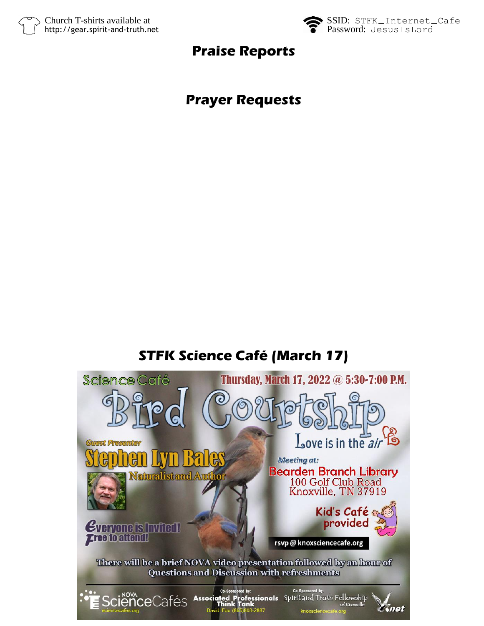



#### **Praise Reports**

### **Prayer Requests**

### **STFK Science Café (March 17)**

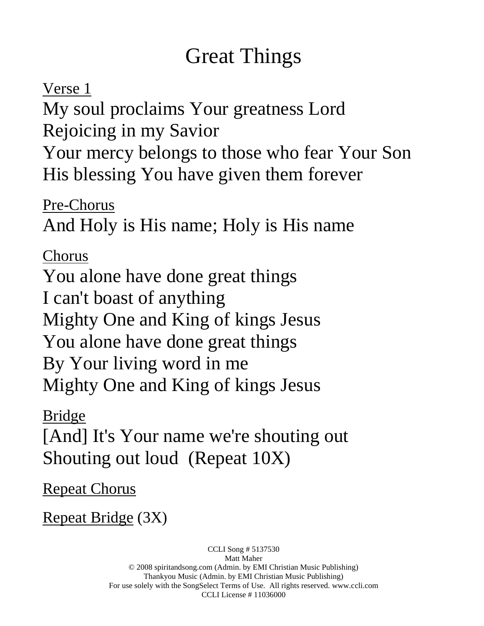### Great Things

Verse 1 My soul proclaims Your greatness Lord Rejoicing in my Savior Your mercy belongs to those who fear Your Son His blessing You have given them forever

Pre-Chorus And Holy is His name; Holy is His name

Chorus You alone have done great things I can't boast of anything Mighty One and King of kings Jesus You alone have done great things By Your living word in me Mighty One and King of kings Jesus

Bridge

[And] It's Your name we're shouting out Shouting out loud (Repeat 10X)

Repeat Chorus

Repeat Bridge (3X)

CCLI Song # 5137530 Matt Maher © 2008 spiritandsong.com (Admin. by EMI Christian Music Publishing) Thankyou Music (Admin. by EMI Christian Music Publishing) For use solely with the SongSelect Terms of Use. All rights reserved. www.ccli.com CCLI License # 11036000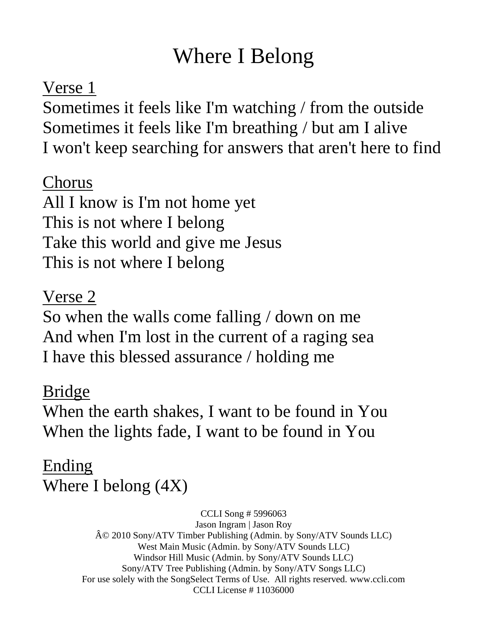### Where I Belong

### Verse 1

Sometimes it feels like I'm watching / from the outside Sometimes it feels like I'm breathing / but am I alive I won't keep searching for answers that aren't here to find

### Chorus

All I know is I'm not home yet This is not where I belong Take this world and give me Jesus This is not where I belong

Verse 2 So when the walls come falling / down on me And when I'm lost in the current of a raging sea I have this blessed assurance / holding me

### Bridge

When the earth shakes, I want to be found in You When the lights fade, I want to be found in You

Ending Where I belong (4X)

> CCLI Song # 5996063 Jason Ingram | Jason Roy © 2010 Sony/ATV Timber Publishing (Admin. by Sony/ATV Sounds LLC) West Main Music (Admin. by Sony/ATV Sounds LLC) Windsor Hill Music (Admin. by Sony/ATV Sounds LLC) Sony/ATV Tree Publishing (Admin. by Sony/ATV Songs LLC) For use solely with the SongSelect Terms of Use. All rights reserved. www.ccli.com CCLI License # 11036000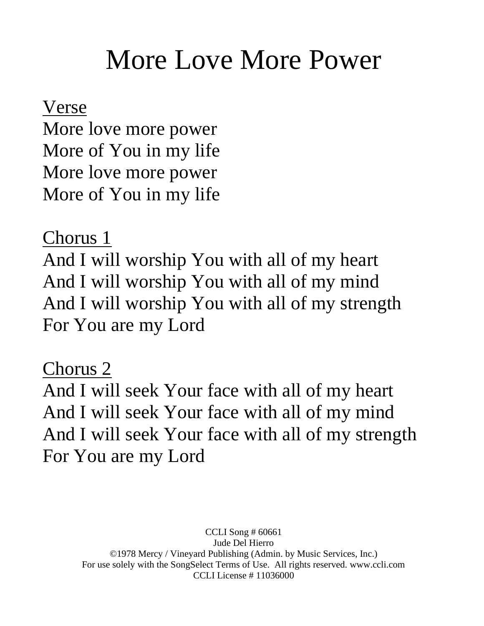# More Love More Power

Verse

More love more power More of You in my life More love more power More of You in my life

Chorus 1

And I will worship You with all of my heart And I will worship You with all of my mind And I will worship You with all of my strength For You are my Lord

Chorus 2 And I will seek Your face with all of my heart And I will seek Your face with all of my mind And I will seek Your face with all of my strength For You are my Lord

> CCLI Song # 60661 Jude Del Hierro ©1978 Mercy / Vineyard Publishing (Admin. by Music Services, Inc.) For use solely with the SongSelect Terms of Use. All rights reserved. www.ccli.com CCLI License # 11036000